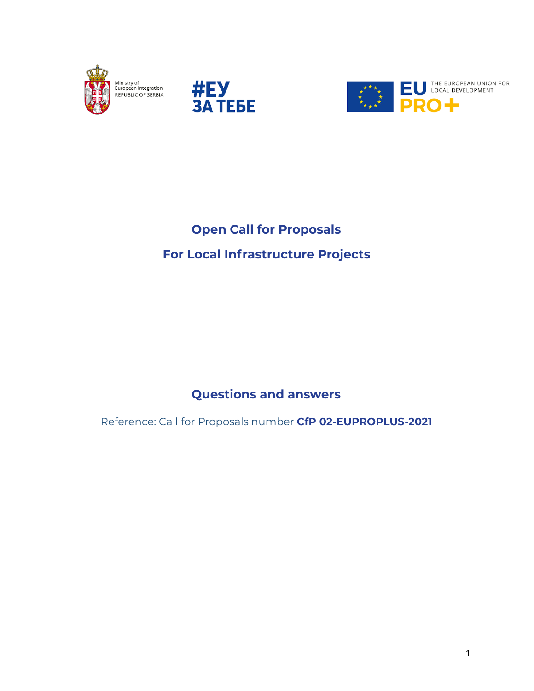





## **Open Call for Proposals For Local Infrastructure Projects**

**Questions and answers**

Reference: Call for Proposals number **CfP 02-EUPROPLUS-2021**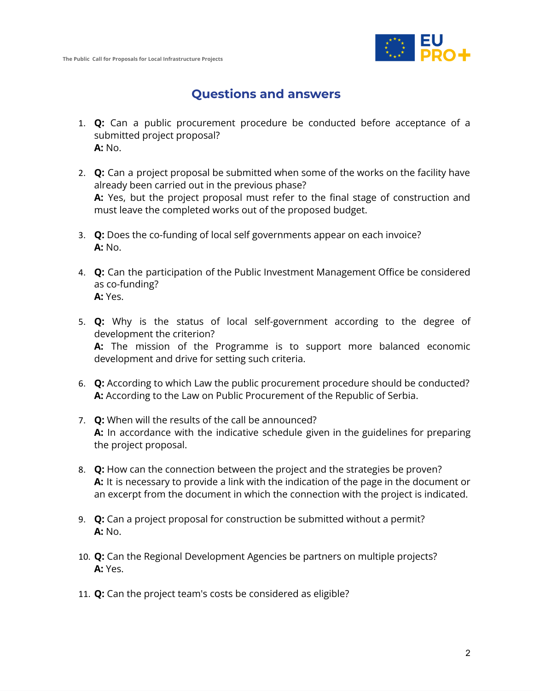

## **Questions and answers**

- 1. **Q:** Can a public procurement procedure be conducted before acceptance of a submitted project proposal? **A:** No.
- 2. **Q:** Can a project proposal be submitted when some of the works on the facility have already been carried out in the previous phase? **A:** Yes, but the project proposal must refer to the final stage of construction and must leave the completed works out of the proposed budget.
- 3. **Q:** Does the co-funding of local self governments appear on each invoice? **A:** No.
- 4. **Q:** Can the participation of the Public Investment Management Office be considered as co-funding? **A:** Yes.
- 5. **Q:** Why is the status of local self-government according to the degree of development the criterion? **A:** The mission of the Programme is to support more balanced economic development and drive for setting such criteria.
- 6. **Q:** According to which Law the public procurement procedure should be conducted? **A:** According to the Law on Public Procurement of the Republic of Serbia.
- 7. **Q:** When will the results of the call be announced? **A:** In accordance with the indicative schedule given in the guidelines for preparing the project proposal.
- 8. **Q:** How can the connection between the project and the strategies be proven? **A:** It is necessary to provide a link with the indication of the page in the document or an excerpt from the document in which the connection with the project is indicated.
- 9. **Q:** Can a project proposal for construction be submitted without a permit? **A:** No.
- 10. **Q:** Can the Regional Development Agencies be partners on multiple projects? **A:** Yes.
- 11. **Q:** Can the project team's costs be considered as eligible?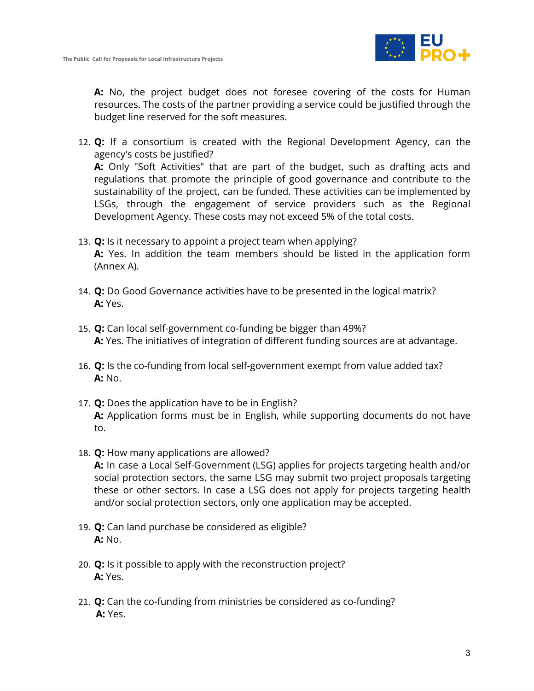

**A:** No, the project budget does not foresee covering of the costs for Human resources. The costs of the partner providing a service could be justified through the budget line reserved for the soft measures.

- 12. **Q:** If a consortium is created with the Regional Development Agency, can the agency's costs be justified? **A:** Only "Soft Activities" that are part of the budget, such as drafting acts and regulations that promote the principle of good governance and contribute to the sustainability of the project, can be funded. These activities can be implemented by LSGs, through the engagement of service providers such as the Regional Development Agency. These costs may not exceed 5% of the total costs.
- 13. **Q:** Is it necessary to appoint a project team when applying? **A:** Yes. In addition the team members should be listed in the application form (Annex A).
- 14. **Q:** Do Good Governance activities have to be presented in the logical matrix? **A:** Yes.
- 15. **Q:** Can local self-government co-funding be bigger than 49%? **A:** Yes. The initiatives of integration of different funding sources are at advantage.
- 16. **Q:** Is the co-funding from local self-government exempt from value added tax? **A:** No.
- 17. **Q:** Does the application have to be in English? **A:** Application forms must be in English, while supporting documents do not have to.
- 18. **Q:** How many applications are allowed? **A:** In case a Local Self-Government (LSG) applies for projects targeting health and/or social protection sectors, the same LSG may submit two project proposals targeting these or other sectors. In case a LSG does not apply for projects targeting health and/or social protection sectors, only one application may be accepted.
- 19. **Q:** Can land purchase be considered as eligible? **A:** No.
- 20. **Q:** Is it possible to apply with the reconstruction project? **A:** Yes.
- 21. **Q:** Can the co-funding from ministries be considered as co-funding? **A:** Yes.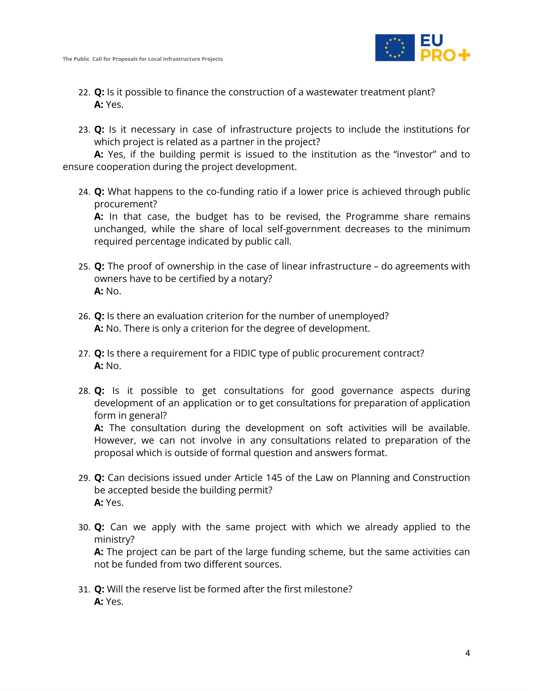

- 22. **Q:** Is it possible to finance the construction of a wastewater treatment plant? **A:** Yes.
- 23. **Q:** Is it necessary in case of infrastructure projects to include the institutions for which project is related as a partner in the project?

**A:** Yes, if the building permit is issued to the institution as the "investor" and to ensure cooperation during the project development.

24. **Q:** What happens to the co-funding ratio if a lower price is achieved through public procurement?

**A:** In that case, the budget has to be revised, the Programme share remains unchanged, while the share of local self-government decreases to the minimum required percentage indicated by public call.

- 25. **Q:** The proof of ownership in the case of linear infrastructure do agreements with owners have to be certified by a notary? **A:** No.
- 26. **Q:** Is there an evaluation criterion for the number of unemployed? **A:** No. There is only a criterion for the degree of development.
- 27. **Q:** Is there a requirement for a FIDIC type of public procurement contract? **A:** No.
- 28. **Q:** Is it possible to get consultations for good governance aspects during development of an application or to get consultations for preparation of application form in general?

**A:** The consultation during the development on soft activities will be available. However, we can not involve in any consultations related to preparation of the proposal which is outside of formal question and answers format.

- 29. **Q:** Can decisions issued under Article 145 of the Law on Planning and Construction be accepted beside the building permit? **A:** Yes.
- 30. **Q:** Can we apply with the same project with which we already applied to the ministry?

**A:** The project can be part of the large funding scheme, but the same activities can not be funded from two different sources.

31. **Q:** Will the reserve list be formed after the first milestone? **A:** Yes.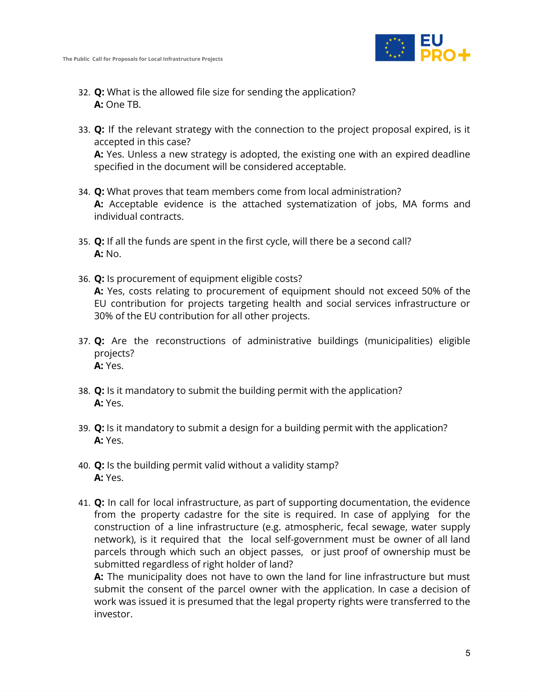

- 32. **Q:** What is the allowed file size for sending the application? **A:** One TB.
- 33. **Q:** If the relevant strategy with the connection to the project proposal expired, is it accepted in this case? **A:** Yes. Unless a new strategy is adopted, the existing one with an expired deadline specified in the document will be considered acceptable.
- 34. **Q:** What proves that team members come from local administration? **A:** Acceptable evidence is the attached systematization of jobs, MA forms and individual contracts.
- 35. **Q:** If all the funds are spent in the first cycle, will there be a second call? **A:** No.
- 36. **Q:** Is procurement of equipment eligible costs? **A:** Yes, costs relating to procurement of equipment should not exceed 50% of the EU contribution for projects targeting health and social services infrastructure or 30% of the EU contribution for all other projects.
- 37. **Q:** Are the reconstructions of administrative buildings (municipalities) eligible projects? **A:** Yes.
- 38. **Q:** Is it mandatory to submit the building permit with the application? **A:** Yes.
- 39. **Q:** Is it mandatory to submit a design for a building permit with the application? **A:** Yes.
- 40. **Q:** Is the building permit valid without a validity stamp? **A:** Yes.
- 41. **Q:** In call for local infrastructure, as part of supporting documentation, the evidence from the property cadastre for the site is required. In case of applying for the construction of a line infrastructure (e.g. atmospheric, fecal sewage, water supply network), is it required that the local self-government must be owner of all land parcels through which such an object passes, or just proof of ownership must be submitted regardless of right holder of land?

**A:** The municipality does not have to own the land for line infrastructure but must submit the consent of the parcel owner with the application. In case a decision of work was issued it is presumed that the legal property rights were transferred to the investor.